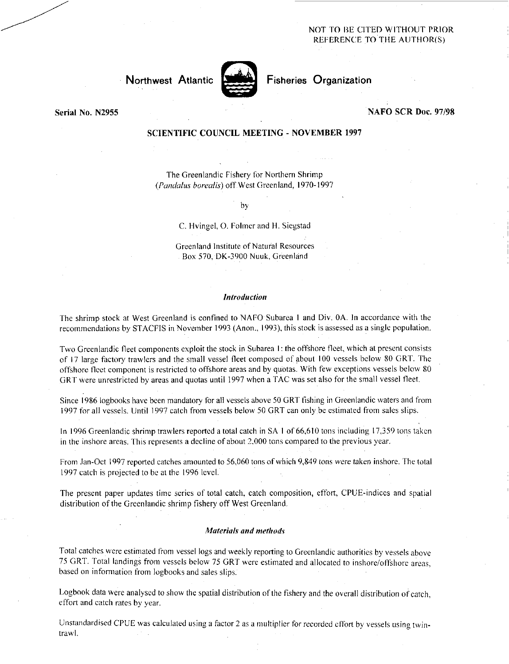# NOT TO BE CITED WITHOUT PRIOR REFERENCE TO THE AUTHOR(S)



Northwest Atlantic **Nutting Fisheries Organization** 

# Serial No. N2955 NAFO SCR Doc. 97/98

# SCIENTIFIC COUNCIL MEETING - NOVEMBER 1997

The Greenlandic Fishery for Northern Shrimp *(Panctalus borealis)* off West Greenland, 1970-1997

by

C. Hvingel, O. Folmer and H. Siegstad

Greenland Institute of Natural Resources Box 570, DK-3900 Nuuk, Greenland

#### *Introduction*

The shrimp stock at West Greenland is confined to NAFO Subarea 1 and Div. OA. In accordance with the recommendations by STACFIS in November 1993 (Anon., 1993), this stock is assessed as a single population.

Two Greenlandic fleet components exploit the stock in Subarea I: the offshore fleet, which at present consists of 17 large factory trawlers and the small vessel fleet composed of about 100 vessels below 80 GRT. The offshore fleet component is restricted to offshore areas and by quotas. With few exceptions vessels below 80 GRT were unrestricted by areas and quotas until 1997 when a TAC was set also for the small vessel fleet.

Since 1986 logbooks have been mandatory for all vessels above 50 GRT fishing in Greenlandic waters and from 1997 for all vessels. Until 1997 catch from vessels below 50 GRT can only be estimated from sales slips.

In 1996 Greenlandic shrimp trawlers reported a total catch in SA I of 66,610 tons including 17,359 tons taken in the inshore areas. This represents a decline of about 2,000 tons compared to the previous year.

From Jan-Oct 1997 reported catches amounted to 56,060 tons of which 9,849 tons *were* taken inshore. The total 1997 catch is projected to be at the 1996 level.

The present paper updates time series of total catch, catch composition, effort, CPUE-indices and spatial distribution of the Greenlandic shrimp fishery off West Greenland.

#### *Materials and methods-*

Total catches were estimated from vessel logs and weekly reporting to Greenlandic authorities by vessels above 75 GRT. Total landings from vessels below 75 GRT were estimated and allocated to inshore/offshore areas, based on information from logbooks and sales slips.

Logbook data were analysed to show the spatial distribution of the fishery and the overall distribution of catch, effort and catch rates by year.

Unstandardised CPUE was calculated using a factor 2 as a multiplier for recorded effort by vessels using twintrawl.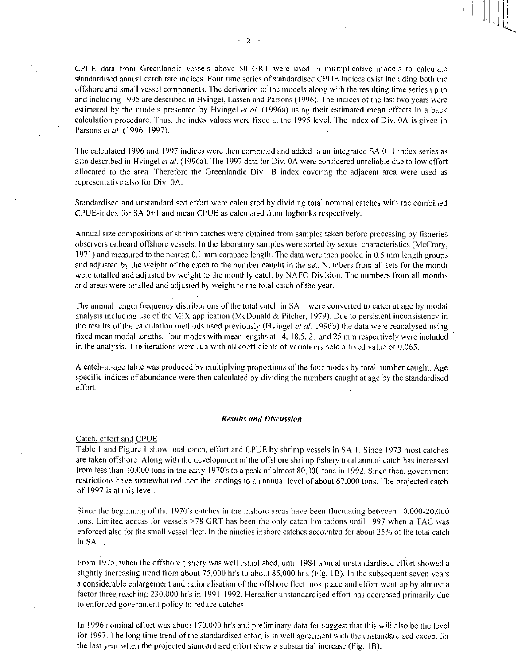CPUE data from Greenlandic vessels above 50 GRT were used in multiplicative models to calculate standardised annual catch rate indices. Four time series of standardised CPUE indices exist including both the offshore and small vessel components. The derivation of the models along with the resulting time series up to and including 1995 are described in Hvingel, Lassen and Parsons (1996). The indices of the last two years were estimated by the models presented by Hvingel et al. (1996a) using their estimated mean effects in a back calculation procedure. Thus, the index values were fixed at the 1995 level. The index of Div. OA is given in Parsons *et al. (1996,* 1997). •

The calculated 1996 and 1997 indices were then combined and added to an integrated SA 0+1 index series as also described in Hvingel *et al. (1996a).* The 1997 data for Div. OA were considered unreliable due to low effort allocated to the area. Therefore the Greenlandic Div 1B index covering the adjacent area were used as representative also for Div. OA.

Standardised and unstandardised effort were calculated by dividing total nominal catches with the combined CPUE-index for SA 0+1 and mean CPUE as calculated from logbooks respectively.

Annual size compositions of shrimp catches were obtained from samples taken before processing by fisheries observers onboard offshore vessels. In the laboratory samples were sorted by sexual characteristics (McCrary, 1971) and measured to the nearest 0.1 mm carapace length. The data were then pooled in 0.5 mm length groups and adjusted by the weight of the catch to the number caught in the set. Numbers from all sets for the month were totalled and adjusted by weight to the monthly catch by NAFO Division. The numbers from all months and areas were totalled and adjusted by weight to the total catch of the year.

The annual length frequency distributions of the total catch in SA I were converted to catch at age by modal analysis including use of the MIX application (McDonald & Pitcher, 1979). Due to persistent inconsistency in the results of the calculation methods used previously (Hvingel *et al.* 19966) the data were reanalysed using fixed mean modal lengths. Four modes with mean lengths at 14, 18.5, 21 and 25 mm respectively were included in the analysis. The iterations were run with all coefficients of variations held a fixed value of 0.065.

A catch-at-age table was produced by multiplying proportions of the four modes by total number caught. Age specific indices of abundance were then calculated by dividing the numbers caught at age by the standardised effort.

#### *Results and Discussion*

#### Catch, effort and CPUE

Table I and Figure I show total catch, effort and CPUE by shrimp vessels in SA I. Since 1973 most catches are taken offshore. Along with the development of the offshore shrimp fishery total annual catch has increased from less than 10,000 tons in the early 1970's to a peak of almost 80,000 tons in 1992. Since then, government restrictions have somewhat reduced the landings to an annual level of about 67,000 tons. The projected catch of 1997 is at this level.

Since the beginning of the 1970's catches in the inshore areas have been fluctuating between 10,000-20,000 tons. Limited access for vessels >78 GRT has been the only catch limitations until 1997 when a TAC was enforced also for the small vessel fleet. In the nineties inshore catches accounted for about 25% of the total catch in SA I.

From 1975, when the offshore fishery was well established, until 1984 annual unstandardised effort showed a slightly increasing trend from about 75,000 hr's to about 85,000 hr's (Fig. I B). In the subsequent seven years a considerable enlargement and rationalisation of the offshore fleet took place and effort went up by almost a factor three reaching 230.000 hr's in 1991-1992. Hereafter unstandardised effort has decreased primarily due to enforced government policy to reduce catches.

In 1996 nominal effort was about 170,000 hr's and preliminary data for suggest that this will also be the level for 1997. The long time trend of the standardised effort is in well agreement with the unstandardised except for the last year when the projected standardised effort show a substantial increase (Fig. 1B).

 $2 -$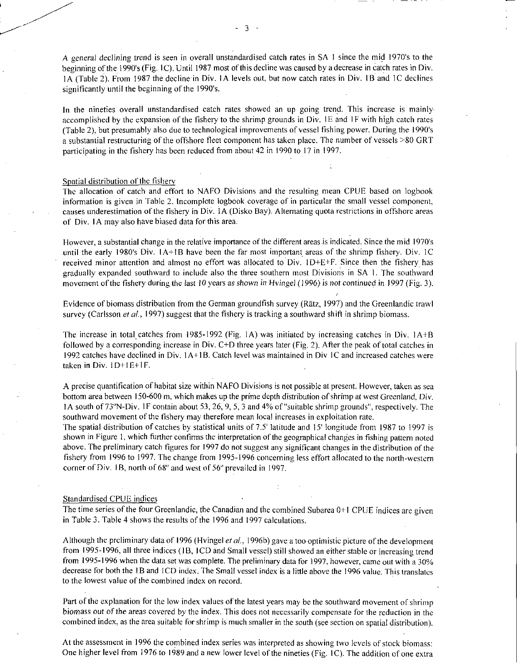A *general declining* trend is seen in overall unstandardised catch rates in SA I since the mid 1970's to the beginning of the 1990's (Fig. IC). Until 1987 most of this decline was caused by a decrease in catch rates in Div. IA (Table 2). From 1987 the decline in Div. IA levels out, but now catch rates in Div. IB and IC declines significantly until the beginning of the 1990's.

In the nineties overall unstandardised catch rates showed an up going trend. This increase is mainly accomplished by the expansion of the fishery to the shrimp grounds in Div. 1E and 1F with high catch rates (Table 2), but presumably also due to technological improvements of vessel fishing power. During the 1990's a substantial restructuring of the offshore fleet component has taken place. The number of vessels >80 GRT participating in the fishery has been reduced from about 42 in 1990 to 17 in 1997.

# Spatial distribution of the fishery

The allocation of catch and effort to NAFO Divisions and the resulting mean CPUE based on logbook information is given in Table 2. Incomplete logbook coverage of in particular the small vessel component, causes underestimation of the fishery in Div. IA (Disko Bay). Altemating quota restrictions in offshore areas of Div. 1 A may also have biased data for this area.

However, a substantial change in the relative importance of the different areas is indicated. Since the mid 1970's until the early 1980's Div. 1A+1B have been the far most important areas of the shrimp fishery. Div. 1C received minor attention and almost no effort was allocated to Div. ID+E+F. Since then the fishery has gradually expanded southward to include also the three southern most Divisions in SA I. The southward movement of the fishery during the last *10* years as *shown in Hvingel* (1996) is *not* continued in 1997 (Fig. 3).

Evidence of biomass distribution from the German groundfish survey (Rätz, 1997) and the Greenlandic trawl survey (Carlsson *et al.*, 1997) suggest that the fishery is tracking a southward shift in shrimp biomass.

The increase in total, catches from 1985-1992 (Fig. IA) was initiated by increasing catches in Div. IA+B followed by a corresponding increase in Div. C+D three years later (Fig. 2). After the peak of total catches in 1992 catches have declined in Div. 1A+ I B. Catch level was maintained in Div IC and increased catches were taken in Div.  $1D+1E+1F$ .

A precise quantification of habitat size within NAFO Divisions is not possible at present. However, taken as sea bottom area between 150-600 m, which makes up the prime depth distribution of shrimp at west Greenland, Div. 1A south of 73°N-Div. 1F contain about 53, 26, 9, 5, 3 and 4% of "suitable shrimp grounds", respectively. The southward movement of the fishery may therefore mean local increases in exploitation rate.

The spatial distribution of catches by statistical units of 7.5' latitude and 15' longitude from 1987 to 1997 is shown in Figure I, which further confirms the interpretation of the geographical changes in fishing pattern noted above. The preliminary catch figures for 1997 do not suggest any significant changes in the distribution of the fishery from 1996 to 1997. The change from 1995-1996 concerning less effort allocated to the north-western corner of Div. 1B, north of 68<sup>°</sup> and west of 56<sup>°</sup> prevailed in 1997.

#### Standardised CPUE indices

The time series of the four Greenlandic, the Canadian and the combined Subarea 0+1 CPUE indices are given in Table 3. Table 4 shows the results of the 1996 and 1997 calculations.

Although the preliminary data of 1996 (Hvingel *et at,* I996b) gave a too optimistic picture of the development from 1995-1996, all three indices (1B, ICD and Small vessel) still showed an either stable or increasing trend from 1995-1996 when the data set was complete. The preliminary data for 1997, however, came out with a 30% decrease for both the 1B and ICD index. The Small vessel index is a little above the 1996 value. This translates to the lowest value of the combined index on record.

Part of the explanation for the low index values of the latest years may be the southward movement of shrimp biomass *out* of the areas covered by the index. This does not necessarily compensate for the reduction in the combined index, as the area suitable for shrimp is much smaller in the south (see section on spatial distribution).

At the assessment in 1996 the combined index series was interpreted as showing two levels of stock biomass: One higher level from 1976 to 1989 and a new lower level of the nineties (Fig, IC). The addition of one extra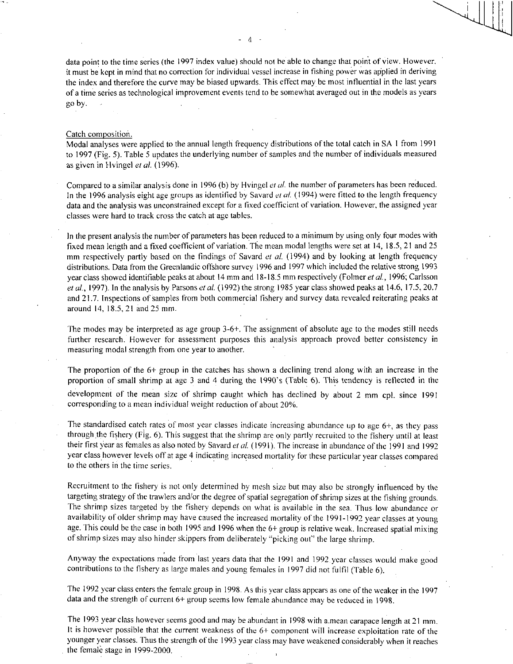data point to the time series (the 1997 index value) should not be able to change that point of view. However, it must be kept in mind that no correction for individual vessel increase in fishing power was applied in deriving the index and therefore the curve may be biased upwards. This effect may be most influential in the last years of a time series as technological improvement events tend to be somewhat averaged out in the models as years go by.

#### Catch composition.

Modal analyses were applied to the annual length frequency distributions of the total catch in SA I from 1991 to 1997 (Fig. 5). Table 5 updates the underlying number of samples and the number of individuals measured as given in Hvingel *et al.* (1996).

Compared to a similar analysis done in 1996 (b) by Hvingel *et at* the number of parameters has been reduced. In the 1996 analysis eight age groups as identified by Savard *el al.* (1994) were fitted to the length frequency data and the analysis was unconstrained except for a fixed coefficient of variation. However, the assigned year classes were hard to track cross the catch at age tables.

In the present analysis the number of parameters has been reduced to a minimum by using only four modes with fixed mean length and a fixed coefficient of variation. The mean modal lengths were set at 14, 18.5, 21 and 25 mm respectively partly based on the findings of Savard *et al.* (1994) and by looking at length frequency distributions. Data from the Greenlandic offshore survey 1996 and 1997 which included the relative strong 1993 year class showed identifiable peaks at about 14 mm and 18-18.5 mm respectively (Folmer *et at,* 1996; Carlsson *et at,* 1997). In the analysis by Parsons *et al.* (1992) the strong 1985 year class showed peaks at 14.6, 17.5, 20.7 and 21.7. Inspections of samples from both commercial fishery and survey data revealed reiterating peaks at around 14, 18.5, 21 and 25 mm.

The modes may be interpreted as age group 3-6+. The assignment of absolute age to the modes still needs further research. However for assessment purposes this analysis approach proved better consistency in measuring modal strength from one year to another.

The proportion of the 6+ group in the catches has shown a declining trend along with an increase in the proportion of small shrimp at age 3 and 4 during the 1990's (Table 6). This tendency is reflected in the development of the mean size of shrimp caught which has declined by about 2 mm cpl. since 1991 corresponding to a mean individual weight reduction of about 20%.

The standardised catch rates of most year classes indicate increasing abundance up to age 6+, as they pass through the fishery (Fig. 6). This suggest that the shrimp are only partly recruited to the fishery until at least their first year as females as also noted by Savard et al. (1991). The increase in abundance of the 1991 and 1992 year class however levels off at age 4 indicating increased mortality for these particular year classes compared to the others in the time series.

Recruitment to the fishery is not only determined by mesh size but may also be strongly influenced by the targeting strategy of the trawlers and/or the degree of spatial segregation of shrimp sizes at the fishing grounds. The shrimp sizes targeted by the fishery depends on what is available in the sea. Thus low abundance or availability of older shrimp may have caused the increased mortality of the 1991-1992 year classes at young age. This could be the case in both 1995 and 1996 when the 6+ group is relative weak. Increased spatial mixing of shrimp sizes may also hinder skippers from deliberately "picking out" the large shrimp.

Anyway the expectations made from last years data that the 1991 and 1992 year classes would make good contributions to the fishery as large males and young females in 1997 did not fulfil (Table 6).

The 1992 year class enters the female group in 1998. As this year class appears as one of the weaker in the 1997 data and the strength of current 6+ group seems low female abundance may be reduced in 1998.

The 1993 year class however seems good and may be abundant in 1998 with a.mean carapace length at 21 mm. It is however possible that the current weakness of the 6+ component will increase exploitation rate of the younger year classes. Thus the strength of the 1993 year class may have weakened considerably when it reaches the female stage in 1999-2000.

- 4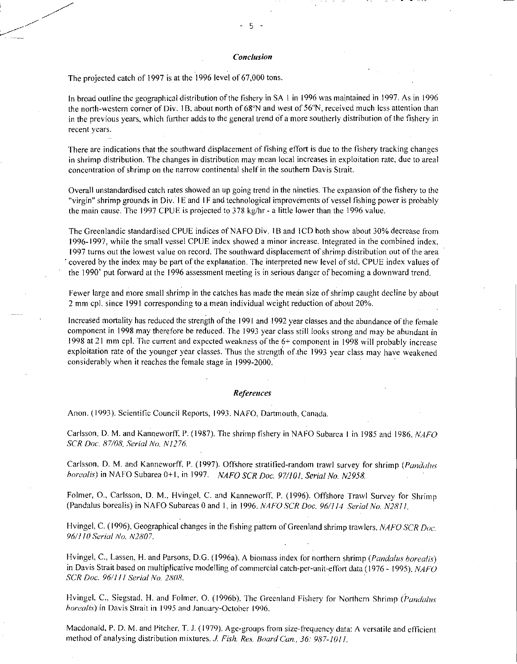### *Conclusion*

The projected catch of 1997 is at the 1996 level of 67,000 tons.

In broad outline the geographical distribution of the fishery in SA I in 1996 was maintained in 1997. As in 1996 the north-western corner of Div. I B, about north of 68"N and west of 56"N, received much less attention than in the previous years, which further adds to the general trend of a more southerly distribution of the fishery in recent years.

There are indications that the southward displacement of fishing effort is due to the fishery tracking changes in shrimp distribution. The changes in distribution may mean local increases in exploitation rate, due to areal concentration of shrimp on the narrow continental shelf in the southern Davis Strait.

Overall unstandardised catch rates showed an up going trend in the nineties. The expansion of the fishery to the "virgin" shrimp grounds in Div. 1E and IF and technological improvements of vessel fishing power is probably the main cause. The 1997 CPUE is projected to 378 kg/hr - a little lower than the 1996 value.

The Greenlandic standardised CPUE indices of NAFO Div. 1B and 1CD both show about 30% decrease from 1996-1997, while the small vessel CPUE index showed a minor increase. Integrated in the combined index, 1997 turns out the lowest value on record. The southward displacement of shrimp distribution out of the area covered by the index may be part of the explanation. The interpreted new level of std. CPUE index values of the 1990' put forward at the 1996 assessment meeting is in serious danger of becoming a downward trend.

Fewer large and more small shrimp in the catches has made the mean size of shrimp caught decline by about 2 mm cpl. since 1991 corresponding to a mean individual weight reduction of about 20%.

Increased mortality has reduced the strength of the 1991 and 1992 year classes and the abundance of the female component in 1998 may therefore be reduced. The 1993 year class still looks strong and may be abundant in 1998 at 21 mm cpl. The current and expected weakness of the 6+ component in 1998 will probably increase exploitation rate of the younger year classes. Thus the strength of.the 1993 year class may have weakened considerably when it reaches the female stage in 1999-2000..

# *References*

Anon. (1993). Scientific Council Reports, 1993. NAFO, Dartmouth, Canada.

Carlsson, D. M. and Kanneworft P. (1987). The shrimp fishery in NAFO Subarea I in 1985 and 1986. *NAFO SCR Doc. 87/08, Serial No. NI276.* 

Carlsson, D. M. and Kanneworff, P. (1997). Offshore stratified-random trawl survey for shrimp *(Panda/us borealis)* in NA FO Subarea 0+1, in 1997. *NAFO SCR Doe. 97/101, Serial No. N2958.* 

Folmer, 0., Carlsson, D. M., Hvingel, C. and Kanneworff, P. (1996). Offshore Trawl Survey for Shrimp (Pandalus borealis) in NAFO Subareas 0 and 1, in 1996. *NA FO SCR Doc. 96/114 Serial No. N2811.* 

Hvingel, C. (1996). Geographical changes in the fishing pattern of Greenland shrimp trawlers. *NAFO SCR Doc. 96/110 Serial No. N2807.* 

Hvingel, C., Lassen, H. and Parsons, D.G. (I 996a). A biomass index for northern shrimp *(Pandalus borealis)*  in Davis Strait based on multiplicative modelling of commercial catch-per-unit-effort data (1976 - 1995). *NAFO SCR Doc. 96/111 Serial No. 2808.* 

Hvingel, C., Siegstad, H. and Folmer, 0. (1996b). The Greenland Fishery for Northern Shrimp *(Panda/l's borealis)* in Davis Strait in 1995 and January-October 1996.

Macdonald, P. D. M. and Pitcher, T. J. (1979). Age-groups from size-frequency data: A versatile and efficient method of analysing distribution mixtures. *J. Fish. Res. Board Can., 36: 987-1011.*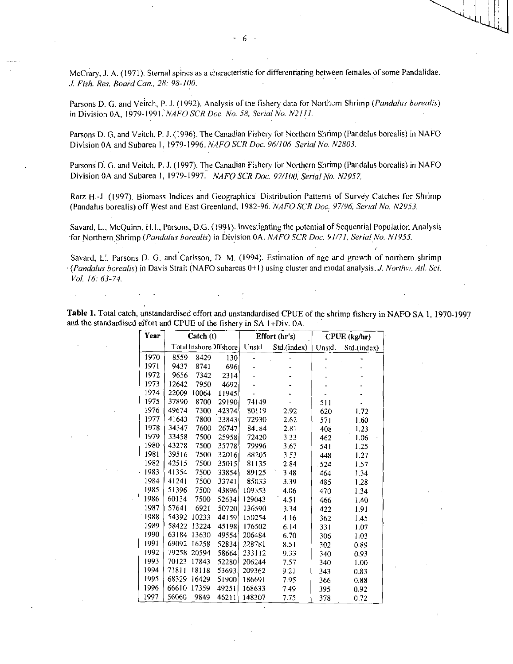McCrary, J. A. (1971). Sternal spines as a characteristic for differentiating between females of some Pandalidae. *.1 Fish. Res. Board Can., 28: 98-100.* 

Parsons D. G. and Veitch, P. J. (1992). Analysis of the fishery data for Northern Shrimp *(Pandalus borealis)*  in Division 0A, 1979-1991. *NAFO SCR Doc. No. 58, Serial No. N2111*.

Parsons D. G. and Veitch, P. J. (1996). The Canadian Fishery for Northern Shrimp (Pandalus borealis) in NAFO Division OA and Subarea 1, 1979-1996. *NAFO SCR Doc. 96/106, Serial No. N2803.* 

Parsons D. G. and Veitch, P. J. (1997). The Canadian Fishery for Northern Shrimp (Pandalus borealis) in NAFO Division OA and Subarea I, 1979-1997 *. NAFO SCR Doe. 97/100. Serial No. N2957.* 

Ratz H.-J. (1997). Biomass Indices and Geographical Distribution Patterns of Survey Catches for Shrimp (Pandalus borealis) off West and East Greenland, 1982-96. *NAFO SCR Doc, 97/96, Serial No. N2953.* 

Savard, L., McQuinn, ELL, Parsons, D.G. (1991). Investigating the potential of Sequential Population Analysis for Northern Shrimp *(Pandalus borealis)* in Division OA. *NAFO SCR Doc. 91/71, Serial No. N1955.* 

Savard, L:, Parsons D. G. and Carlsson, D. M. (1994). Estimation of age and growth of northern shrimp *(Pandalus borealis)* in Davis Strait (NAFO subareas 0+1) using cluster and modal analysis. *J. Northw. Atl. Sci. Vol. 16: 63-74.* 

| Table 1. Total catch, unstandardised effort and unstandardised CPUE of the shrimp fishery in NAFO SA 1, 1970-1997 |  |  |
|-------------------------------------------------------------------------------------------------------------------|--|--|
| and the standardised effort and CPUE of the fishery in SA 1+Div. 0A.                                              |  |  |

| Year |       | Catch (t) |                        |        | Effort (hr's) |        | CPUE (kg/hr) |
|------|-------|-----------|------------------------|--------|---------------|--------|--------------|
|      |       |           | Total Inshore Offshore | Unstd. | Std.(index)   | Unstd. | Std.(index)  |
| 1970 | 8559  | 8429      | 130                    |        |               |        |              |
| 1971 | 9437  | 8741      | 696                    |        |               |        |              |
| 1972 | 9656  | 7342      | 2314                   |        |               |        |              |
| 1973 | 12642 | 7950      | 4692                   |        |               |        |              |
| 1974 | 22009 | 10064     | 11945                  |        |               |        |              |
| 1975 | 37890 | 8700      | 29190                  | 74149  |               | 511    |              |
| 1976 | 49674 | 7300      | 42374                  | 80119  | 2.92          | 620    | 1.72         |
| 1977 | 41643 | 7800      | 33843                  | 72930  | 2.62          | 571    | 1.60         |
| 1978 | 34347 | 7600      | 26747                  | 84184  | 2.81.         | 408    | 1.23         |
| 1979 | 33458 | 7500      | 25958                  | 72420  | 3.33          | 462    | 1.06         |
| 1980 | 43278 | 7500      | 35778                  | 79996  | 3.67          | 541    | 1.25         |
| 1981 | 39516 | 7500      | 32016                  | 88205  | 3.53          | 448    | 1.27         |
| 1982 | 42515 | 7500      | 35015                  | 81135  | 2.84          | 524    | 1.57         |
| 1983 | 41354 | 7500      | 33854                  | 89125  | 3.48          | 464    | 1.34         |
| 1984 | 41241 | 7500      | 33741                  | 85033  | 3.39          | 485    | 1.28         |
| 1985 | 51396 | 7500      | 43896                  | 109353 | 4.06          | 470    | 1.34         |
| 1986 | 60134 | 7500      | 52634                  | 129043 | 4.51          | 466    | 1.40         |
| 1987 | 57641 | 6921      | 50720                  | 136590 | 3.34          | 422    | 1.91         |
| 1988 | 54392 | 10233     | 44159                  | 150254 | 4.16          | 362    | 1.45         |
| 1989 | 58422 | 13224     | 45198                  | 176502 | 6.14          | 331    | 1.07         |
| 1990 | 63184 | 13630     | 49554                  | 206484 | 6.70          | 306    | 1.03         |
| 1991 | 69092 | 16258     | 52834                  | 228781 | 8.51          | 302    | 0.89         |
| 1992 | 79258 | 20594     | 58664                  | 233112 | 9.33          | 340    | 0.93         |
| 1993 | 70123 | 17843     | 52280                  | 206244 | 7.57          | 340    | 1.00         |
| 1994 | 71811 | 18118     | 53693                  | 209362 | 9.21          | 343    | 0.83         |
| 1995 | 68329 | 16429     | 51900                  | 186691 | 7.95          | 366    | 0.88         |
| 1996 | 66610 | 17359     | 49251                  | 168633 | 7.49          | 395    | 0.92         |
| 1997 | 56060 | 9849      | 46211                  | 148307 | 7.75          | 378    | 0.72         |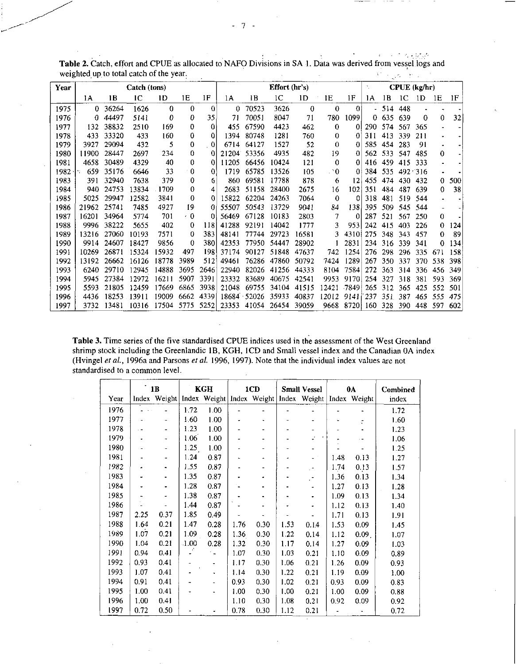| Year |                  |       | Catch (tons) |          |           |          |       |       | Effort (hr's) | $CPUE$ (kg/hr)<br>1F<br>1E<br>1 <sub>D</sub><br>1B<br>1C<br>1А<br>0<br>0<br>514<br>0<br>448<br>1099<br>71<br>780<br>635<br>639<br>0<br>462<br>0<br>574<br>290.<br>0<br>567<br>760<br>0<br>311<br>413<br>339<br>0<br>52<br>585<br>454<br>283<br>0<br>0<br>482<br>19<br>562<br>533<br>0<br>547<br>121<br>0<br>416<br>459<br>0<br>415<br>105<br>. 20<br>384<br>535<br>492 316<br>Ω<br>878<br>12<br>6<br>455<br>474<br>430 |       |      |     |     |     |     |     |     |
|------|------------------|-------|--------------|----------|-----------|----------|-------|-------|---------------|------------------------------------------------------------------------------------------------------------------------------------------------------------------------------------------------------------------------------------------------------------------------------------------------------------------------------------------------------------------------------------------------------------------------|-------|------|-----|-----|-----|-----|-----|-----|
|      | 1Α               | 1B    | ıс           | 1D       | 1E        | 1F       | 1A    | 1B    | 1C            |                                                                                                                                                                                                                                                                                                                                                                                                                        |       |      |     |     |     | 1D  | 1E  | 1F  |
| 1975 | 0                | 36264 | 1626         | $\Omega$ | $\theta$  | $\Omega$ | 0     | 70523 | 3626          |                                                                                                                                                                                                                                                                                                                                                                                                                        |       |      |     |     |     |     |     |     |
| 1976 | 0                | 44497 | 5141         | 0        | Ð         | 35       | 71    | 70051 | 8047          |                                                                                                                                                                                                                                                                                                                                                                                                                        |       |      |     |     |     | 0   | 0   | 32  |
| 1977 | 132              | 38832 | 2510         | 169      | $\Omega$  | O        | 455   | 67590 | 4423          |                                                                                                                                                                                                                                                                                                                                                                                                                        |       |      |     |     |     | 365 |     |     |
| 1978 | 433              | 33320 | 433          | 160      | 0         | 0        | 1394  | 80748 | 1281          |                                                                                                                                                                                                                                                                                                                                                                                                                        |       |      |     |     |     | 211 |     |     |
| 1979 | 3927             | 29094 | 432          | 5        | $\theta$  | 0        | 6714  | 64127 | 1527          |                                                                                                                                                                                                                                                                                                                                                                                                                        |       |      |     |     |     | 91  | ٠   |     |
| 1980 | 11900            | 28447 | 2697         | 234      | 0         | 0        | 21204 | 53356 | 4935          |                                                                                                                                                                                                                                                                                                                                                                                                                        |       |      |     |     |     | 485 | 0   |     |
| 1981 | 4658             | 30489 | 4329         | 40       | 0         | 0        | 11205 | 66456 | 10424         |                                                                                                                                                                                                                                                                                                                                                                                                                        |       |      |     |     |     | 333 | ٠   |     |
| 1982 | 659 <sup>-</sup> | 35176 | 6646         | 33       | $\Omega$  | 0        | 1719  | 65785 | 13526         |                                                                                                                                                                                                                                                                                                                                                                                                                        |       |      |     |     |     |     |     |     |
| 1983 | 391              | 32940 | 7638         | 379      | 0         | 6        | 860   | 69581 | 17788         |                                                                                                                                                                                                                                                                                                                                                                                                                        |       |      |     |     |     | 432 | 0   | 500 |
| 1984 | 940              | 24753 | 13834        | 1709     | 0         | 4        | 2683  | 51158 | 28400         | 2675                                                                                                                                                                                                                                                                                                                                                                                                                   | 16    | 102  | 351 | 484 | 437 | 639 | 0   | 38  |
| 1985 | 5025             | 29947 | 12582        | 3841     | 0         | $\Omega$ | 15822 | 62204 | 24263         | 7064                                                                                                                                                                                                                                                                                                                                                                                                                   | 0     | 0    | 318 | 481 | 519 | 544 |     |     |
| 1986 | 21962            | 25741 | 7485         | 4927     | 19        | 0        | 55507 | 50543 | 13729         | 9041                                                                                                                                                                                                                                                                                                                                                                                                                   | 84    | 138  | 395 | 509 | 545 | 544 |     |     |
| 1987 | 16201            | 34964 | 5774         | 701      | $\cdot$ 0 | 0        | 56469 | 67128 | 10183         | 2803                                                                                                                                                                                                                                                                                                                                                                                                                   |       | 0    | 287 | 521 | 567 | 250 | 0   |     |
| 1988 | 9996             | 38222 | 5655         | 402      | 0         | 118      | 41288 | 92191 | 14042         | 1777                                                                                                                                                                                                                                                                                                                                                                                                                   |       | 953  | 242 | 415 | 403 | 226 | 0   | 124 |
| 1989 | 13216            | 27060 | 10193        | 7571     | 0         | 383      | 48141 | 77744 | 29723         | 16581                                                                                                                                                                                                                                                                                                                                                                                                                  | ٩     | 4310 | 275 | 348 | 343 | 457 | 0   | 89  |
| 1990 | 9914             | 24607 | 18427        | 9856     | 0         | 380      | 42353 | 77950 | 54447         | 28902                                                                                                                                                                                                                                                                                                                                                                                                                  |       | 2831 | 234 | 316 | 339 | 341 | 0   | 134 |
| 1991 | 10269            | 26871 | 15324        | 15932    | 497       | 198      | 37174 | 90127 | 51848         | 47637                                                                                                                                                                                                                                                                                                                                                                                                                  | 742   | 1254 | 276 | 298 | 296 | 335 | 671 | 158 |
| 1992 | 13192            | 26662 | 16126        | 18778    | 3989      | 512      | 49461 | 76286 | 47860         | 50792                                                                                                                                                                                                                                                                                                                                                                                                                  | 7424  | 1289 | 267 | 350 | 337 | 370 | 538 | 398 |
| 1993 | 6240             | 29710 | 12945        | 14888    | 3695      | 2646     | 22940 | 82026 | 41256         | 44333                                                                                                                                                                                                                                                                                                                                                                                                                  | 8104  | 7584 | 272 | 363 | 314 | 336 | 456 | 349 |
| 1994 | 5945             | 27384 | 12972        | 16211    | 5907      | 3391     | 23332 | 83689 | 40675         | 42541                                                                                                                                                                                                                                                                                                                                                                                                                  | 9953  | 9170 | 254 | 327 | 318 | 381 | 593 | 369 |
| 1995 | 5593             | 21805 | 12459        | 17669    | 6865      | 3938     | 21048 | 69755 | 34104         | 41515                                                                                                                                                                                                                                                                                                                                                                                                                  | 12421 | 7849 | 265 | 312 | 365 | 425 | 552 | 501 |
| 1996 | 4436             | 18253 | 13911        | 19009    | 6662      | 4339     | 18684 | 52026 | 35933         | 40837                                                                                                                                                                                                                                                                                                                                                                                                                  | 12012 | 9141 | 237 | 351 | 387 | 465 | 555 | 475 |
| 1997 | 3732             | 13481 | 10316        | 17504    | 5775      | 5252     | 23353 | 41054 | 26454         | 39059                                                                                                                                                                                                                                                                                                                                                                                                                  | 9668  | 8720 | 160 | 328 | 390 | 448 | 597 | 602 |

 $\label{eq:2} \mathcal{L} = \left\{ \mathcal{L} \in \mathcal{L}^2 \left( \mathcal{L} \right) \right\} \left( \mathcal{L}_{\text{eff}} \right) \in \mathcal{L}^2_{\text{eff}} \left( \mathcal{L} \right)$ Table 2. Catch, effort and CPUE as allocated to NAFO Divisions in SA 1. Data was derived from vessel logs and weighted, up to total catch of the year.  $\mathcal{C}^{\mathcal{C}}$  , we have  $\mathcal{C}^{\mathcal{C}}$  , we have

Table 3. Time series of the five standardised CPUE indices used in the assessment of the West Greenland shrimp stock including the Greenlandic 1B, KGH, ICD and Small vessel index and the Canadian 0A index and the Canadian OA index (Hvingel *et al.,* 1996a and Parsons *et al.* 1996, 1997). Note that the individual index values are not standardised to a common level.

|      |      | 1B           |              | KGH            |      | 1CD                       |      | <b>Small Vessel</b>         |      | 0A                | Combined |
|------|------|--------------|--------------|----------------|------|---------------------------|------|-----------------------------|------|-------------------|----------|
| Year |      | Index Weight |              |                |      | Index Weight Index Weight |      | Index Weight   Index Weight |      |                   | index    |
| 1976 |      |              | 1.72         | 1.00           |      |                           |      |                             |      |                   | 1.72     |
| 1977 |      |              | 1.60         | 1.00           |      |                           |      |                             |      | ċ.                | 1.60     |
| 1978 |      |              | 1.23         | 1.00           |      |                           |      |                             |      |                   | 1.23     |
| 1979 |      |              | 1.06         | 1.00           |      |                           |      |                             |      |                   | 1.06     |
| 1980 |      |              | 1.25         | 1.00           |      |                           |      |                             |      |                   | 1.25     |
| 1981 |      |              | 1.24         | 0.87           |      | ۰                         |      |                             | 1.48 | 0.13              | 1.27     |
| 1982 |      |              | 1.55         | 0.87           |      |                           |      | $\cdot$                     | 1.74 | 0.13              | 1.57     |
| 1983 |      |              | 1.35         | 0.87           |      |                           |      | $\overline{a}$              | 1.36 | 0.13              | 1.34     |
| 1984 |      |              | 1.28         | 0.87           |      |                           |      |                             | 1.27 | 0.13              | 1.28     |
| 1985 |      |              | 1.38         | 0.87           |      | ٠                         |      | $\ddot{\phantom{0}}$        | 1.09 | 0.13              | 1.34     |
| 1986 |      |              | 1.44         | 0.87           |      |                           |      |                             | 1.12 | 0.13              | 1.40     |
| 1987 | 2.25 | 0.37         | 1.85         | 0.49           |      |                           |      |                             | 1.71 | 0.13              | 1.91     |
| 1988 | 1.64 | 0.21         | 1.47         | 0.28           | 1.76 | 0.30                      | 1.53 | 0.14                        | 1.53 | 0.09              | 1.45     |
| 1989 | 1.07 | 0.21         | 1.09         | 0.28           | 1.36 | 0.30                      | 1.22 | 0.14                        | 1.12 | 0.09 <sub>1</sub> | 1.07     |
| 1990 | 1.04 | 0.21         | $\cdot$ 1.00 | 0.28           | 1.32 | 0.30                      | 1.17 | 0.14                        | 1.27 | 0.09              | 1.03     |
| 1991 | 0.94 | 0.41         |              | ۰.             | 1.07 | 0.30                      | 1.03 | 0.21                        | 1.10 | 0.09              | 0.89     |
| 1992 | 0.93 | 0.41         |              | L,             | 1.17 | 0.30                      | 1.06 | 0.21                        | 1.26 | 0.09              | 0.93     |
| 1993 | 1.07 | 0.41         |              | $\blacksquare$ | 1.14 | 0.30                      | 1.22 | 0.21                        | 1.19 | 0.09              | 1.00     |
| 1994 | 0.91 | 0.41         |              |                | 0.93 | 0.30                      | 1.02 | 0.21                        | 0.93 | 0.09              | 0.83     |
| 1995 | 1.00 | 0.41         |              |                | 1.00 | 0.30                      | 1.00 | 0.21                        | 1.00 | 0.09              | 0.88     |
| 1996 | 1.00 | 0.41         |              |                | 1.10 | 0.30                      | 1.08 | 0.21                        | 0.92 | 0.09              | 0.92     |
| 1997 | 0.72 | 0.50         |              |                | 0.78 | 0.30                      | 1.12 | 0.21                        |      |                   | 0.72     |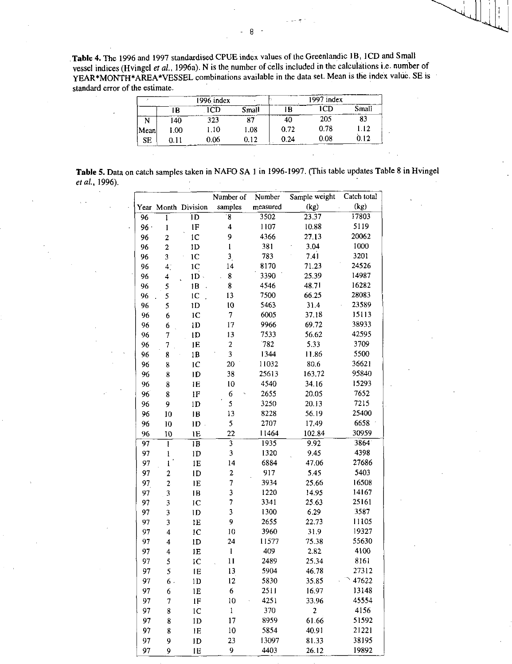**Table 4.** The 1996 and 1997 standardised CPUE index values of the Greenlandic 1B, 1CD and Small vessel indices (Hvingel *et al.,* 1996a). Nis the number of cells included in the calculations i.e. number of YEAR\*MONTH\*AREA\*VESSEL combinations available in the data set. Mean is the index value. SE is standard error of the estimate.

|           |        | 1996 index |       |      | 1997 index |       |
|-----------|--------|------------|-------|------|------------|-------|
|           | B      |            | Small | ١B   |            | Small |
|           | 140    | 323        |       | 40   | 205        | 83    |
| Mean      | 00.1   | I.IO       | 1.08  | 0.72 | 0.78       | 1.12  |
| <b>SE</b> | D. 1 1 | 0.06       | 0.12  | 0.24 | 0.08       | 0.12  |

| Table 5. Data on catch samples taken in NAFO SA 1 in 1996-1997. (This table updates Table 8 in Hvingel |  |  |  |
|--------------------------------------------------------------------------------------------------------|--|--|--|
| et al., 1996).                                                                                         |  |  |  |

|                 |                                                                                                                                                                                                                                                                                                                                                                                                                                                                                        |                     | Number of               | Number   | Sample weight           | Catch total |
|-----------------|----------------------------------------------------------------------------------------------------------------------------------------------------------------------------------------------------------------------------------------------------------------------------------------------------------------------------------------------------------------------------------------------------------------------------------------------------------------------------------------|---------------------|-------------------------|----------|-------------------------|-------------|
|                 |                                                                                                                                                                                                                                                                                                                                                                                                                                                                                        | Year Month Division | samples                 | measured | (kg)                    | (kg)        |
| $\overline{96}$ | 1                                                                                                                                                                                                                                                                                                                                                                                                                                                                                      | ĪD                  | 8                       | 3502     | 23.37                   | 17803       |
| 96.             | $\mathbf{1}$                                                                                                                                                                                                                                                                                                                                                                                                                                                                           | 1F                  | 4                       | 1107     | 10.88                   | 5119        |
| 96              | $\overline{\mathbf{c}}$                                                                                                                                                                                                                                                                                                                                                                                                                                                                | 1 <sup>C</sup>      | 9                       | 4366     | 27.13                   | 20062       |
| 96              | $\boldsymbol{2}$                                                                                                                                                                                                                                                                                                                                                                                                                                                                       | 1 <sub>D</sub>      | $\mathbf{I}$            | 381      | 3.04                    | 1000        |
| 96              | 3                                                                                                                                                                                                                                                                                                                                                                                                                                                                                      | 1 <sup>C</sup>      | $\overline{\mathbf{3}}$ | 783      | 7.41                    | 3201        |
| 96              | 4 <sup>1</sup>                                                                                                                                                                                                                                                                                                                                                                                                                                                                         | 1 <sup>C</sup>      | 14                      | 8170     | 71.23                   | 24526       |
| 96              | 4                                                                                                                                                                                                                                                                                                                                                                                                                                                                                      | $1D -$              | 8                       | 3390     | 25.39                   | 14987       |
| 96              | 5                                                                                                                                                                                                                                                                                                                                                                                                                                                                                      | 1B                  | 8                       | 4546     | 48.71                   | 16282       |
| 96              | 5                                                                                                                                                                                                                                                                                                                                                                                                                                                                                      | 1 <sup>C</sup>      | 13                      | 7500     | 66.25                   | 28083       |
| 96              | 5                                                                                                                                                                                                                                                                                                                                                                                                                                                                                      | 1D                  | $\overline{10}$         | 5463     | 31.4                    | 23589       |
| 96              | 6                                                                                                                                                                                                                                                                                                                                                                                                                                                                                      | IC                  | 7                       | 6005     | 37.18                   | 15113       |
| 96              | 6                                                                                                                                                                                                                                                                                                                                                                                                                                                                                      | 1 <sub>D</sub>      | 17                      | 9966     | 69.72                   | 38933       |
| 96              | 7                                                                                                                                                                                                                                                                                                                                                                                                                                                                                      | 1D                  | 13                      | 7533     | 56.62                   | 42595       |
| 96              | 7                                                                                                                                                                                                                                                                                                                                                                                                                                                                                      | 1E                  | 2                       | 782      | 5.33                    | 3709        |
| 96              | 8                                                                                                                                                                                                                                                                                                                                                                                                                                                                                      | 1B                  | 3                       | 1344     | 11.86                   | 5500        |
| 96              | 8                                                                                                                                                                                                                                                                                                                                                                                                                                                                                      | 1 <sup>C</sup>      | 20                      | 11032    | 80.6                    | 36621       |
| 96              | 8                                                                                                                                                                                                                                                                                                                                                                                                                                                                                      | ID                  | 38                      | 25613    | 163.72                  | 95840       |
| 96              | 8                                                                                                                                                                                                                                                                                                                                                                                                                                                                                      | 1E                  | 10                      | 4540     | 34.16                   | 15293       |
| 96              | 8                                                                                                                                                                                                                                                                                                                                                                                                                                                                                      | 1F                  | 6                       | 2655     | 20.05                   | 7652        |
| 96              | 9                                                                                                                                                                                                                                                                                                                                                                                                                                                                                      | 1D                  | 5                       | 3250     | 20.13                   | 7215        |
| 96              | 10                                                                                                                                                                                                                                                                                                                                                                                                                                                                                     | 1B                  | 13                      | 8228     | 56.19                   | 25400       |
| 96              | 10                                                                                                                                                                                                                                                                                                                                                                                                                                                                                     | 1D                  | 5                       | 2707     | 17.49                   | 6658        |
| 96              | 10                                                                                                                                                                                                                                                                                                                                                                                                                                                                                     | 1E                  | 22                      | 11464    | 102.84                  | 30959       |
| 97              | $\mathbf{I}$                                                                                                                                                                                                                                                                                                                                                                                                                                                                           | 1B                  | $\overline{\mathbf{3}}$ | 1935     | 9.92                    | 3864        |
| 97              | $\mathbf{l}% _{T}=\mathbf{l}_{T}=\mathbf{l}_{T}=\mathbf{l}_{T}=\mathbf{l}_{T}=\mathbf{l}_{T}=\mathbf{l}_{T}=\mathbf{l}_{T}=\mathbf{l}_{T}=\mathbf{l}_{T}=\mathbf{l}_{T}=\mathbf{l}_{T}=\mathbf{l}_{T}=\mathbf{l}_{T}=\mathbf{l}_{T}=\mathbf{l}_{T}=\mathbf{l}_{T}=\mathbf{l}_{T}=\mathbf{l}_{T}=\mathbf{l}_{T}=\mathbf{l}_{T}=\mathbf{l}_{T}=\mathbf{l}_{T}=\mathbf{l}_{T}=\mathbf{l}_{T}=\mathbf{l}_{T}=\mathbf{l}_{T}=\mathbf{l}_{T}=\mathbf{l}_{T}=\mathbf{l}_{T}=\mathbf{l}_{T}=\$ | ID                  | 3                       | 1320     | 9.45                    | 4398        |
| 97              | $\mathbf{1}$                                                                                                                                                                                                                                                                                                                                                                                                                                                                           | 1E                  | 14                      | 6884     | 47.06                   | 27686       |
| 97              | $\overline{2}$                                                                                                                                                                                                                                                                                                                                                                                                                                                                         | ID                  | $\overline{\mathbf{c}}$ | 917      | 5.45                    | 5403        |
| 97              | $\overline{c}$                                                                                                                                                                                                                                                                                                                                                                                                                                                                         | 1E                  | 7                       | 3934     | 25.66                   | 16508       |
| 97              | 3                                                                                                                                                                                                                                                                                                                                                                                                                                                                                      | 1B                  | 3                       | 1220     | 14.95                   | 14167       |
| 97              | 3                                                                                                                                                                                                                                                                                                                                                                                                                                                                                      | IC                  | 7                       | 3341     | 25.63                   | 25161       |
| 97              | 3                                                                                                                                                                                                                                                                                                                                                                                                                                                                                      | ID                  | 3                       | 1300     | 6.29                    | 3587        |
| 97              | 3                                                                                                                                                                                                                                                                                                                                                                                                                                                                                      | 1E                  | 9                       | 2655     | 22.73                   | 11105       |
| 97              | $\overline{\mathbf{4}}$                                                                                                                                                                                                                                                                                                                                                                                                                                                                | IC                  | 10                      | 3960     | 31.9                    | 19327       |
| 97              | 4                                                                                                                                                                                                                                                                                                                                                                                                                                                                                      | 1D                  | 24                      | 11577    | 75.38                   | 55630       |
| 97              | 4                                                                                                                                                                                                                                                                                                                                                                                                                                                                                      | 1E                  | $\mathbf{1}$            | 409      | 2.82                    | 4100        |
| 97              | 5                                                                                                                                                                                                                                                                                                                                                                                                                                                                                      | IĊ                  | 11                      | 2489     | 25.34                   | 8161        |
| 97              | 5                                                                                                                                                                                                                                                                                                                                                                                                                                                                                      | 1E                  | 13                      | 5904     | 46.78                   | 27312       |
| 97              | 6.                                                                                                                                                                                                                                                                                                                                                                                                                                                                                     | 1D                  | 12                      | 5830     | 35.85                   | 47622       |
| 97              | 6                                                                                                                                                                                                                                                                                                                                                                                                                                                                                      | 1E                  | $\boldsymbol{6}$        | 2511     | 16.97                   | 13148       |
| 97              | $\overline{7}$                                                                                                                                                                                                                                                                                                                                                                                                                                                                         | $1\mathrm{F}$       | 10                      | 4251     | 33.96                   | 45554       |
| 97              | 8                                                                                                                                                                                                                                                                                                                                                                                                                                                                                      | 1 <sup>C</sup>      | $\mathbf{1}$            | 370      | $\overline{\mathbf{c}}$ | 4156        |
| 97              | 8                                                                                                                                                                                                                                                                                                                                                                                                                                                                                      | 1 <sub>D</sub>      | 17                      | 8959     | 61.66                   | 51592       |
| 97              | 8                                                                                                                                                                                                                                                                                                                                                                                                                                                                                      | IE                  | 10                      | 5854     | 40.91                   | 21221       |
| 97              | 9                                                                                                                                                                                                                                                                                                                                                                                                                                                                                      | ID                  | 23                      | 13097    | 81.33                   | 38195       |
| 97              | 9                                                                                                                                                                                                                                                                                                                                                                                                                                                                                      | 1E                  | 9                       | 4403     | 26.12                   | 19892       |

 $\overline{\phantom{a}}$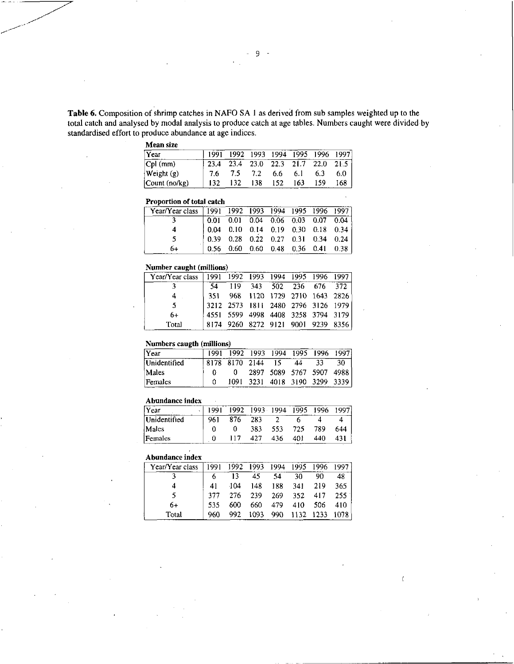Table 6. Composition of shrimp catches in NAFO SA 1 as derived from sub samples weighted up to the total catch and analysed by modal analysis to produce catch at age tables. Numbers caught were divided by standardised effort to produce abundance at age indices.

#### Mean size

| 1991 |     |     |     |     |     |                                                                            |
|------|-----|-----|-----|-----|-----|----------------------------------------------------------------------------|
| 23.4 |     |     |     |     |     |                                                                            |
| 7.6  | 7.5 | 7.2 | 6.6 | 6.1 | 6.3 | 6.0 <sub>1</sub>                                                           |
|      | 132 | 138 | 152 | 163 | 159 | 168                                                                        |
|      |     |     |     |     |     | 1992 1993 1994 1995 1996 1997<br>$23.4$ $23.0$ $22.3$ $21.7$ $22.0$ $21.5$ |

#### Proportion of total catch

| Year/Year class   1991 1992 1993 1994 1995 1996 1997 |                                                                                                                                                                                                                          |  |                                      |  |  |
|------------------------------------------------------|--------------------------------------------------------------------------------------------------------------------------------------------------------------------------------------------------------------------------|--|--------------------------------------|--|--|
|                                                      |                                                                                                                                                                                                                          |  |                                      |  |  |
|                                                      |                                                                                                                                                                                                                          |  |                                      |  |  |
|                                                      | $\begin{array}{ ccccccccccccccc } \hline 0.01 & 0.01 & 0.04 & 0.04 & 0.06 & 0.03 & 0.07 & 0.04 \\ 0.04 & 0.10 & 0.14 & 0.19 & 0.30 & 0.18 & 0.34 \\ 0.39 & 0.28 & 0.22 & 0.27 & 0.31 & 0.34 & 0.24 \\\hline \end{array}$ |  |                                      |  |  |
| 64                                                   |                                                                                                                                                                                                                          |  | $0.56$ 0.60 0.60 0.48 0.36 0.41 0.38 |  |  |

# Number caught (millions)

| Year/Year class |     |     |             | 1991 1992 1993 1994 1995 1996 1997 |     |
|-----------------|-----|-----|-------------|------------------------------------|-----|
|                 |     | 119 | 343 502 236 | 676                                | 372 |
|                 | 351 |     |             | 968 1120 1729 2710 1643 2826       |     |
|                 |     |     |             | 3212 2573 1811 2480 2796 3126 1979 |     |
| 6+              |     |     |             | 4551 5599 4998 4408 3258 3794 3179 |     |
| Total           |     |     |             | 8174 9260 8272 9121 9001 9239 8356 |     |

# Numbers caugth (millions)

| Year         | 1991 1992 1993 1994 1995 1996 1997 |                               |    |    |     |
|--------------|------------------------------------|-------------------------------|----|----|-----|
| Unidentified | 8178 8170 2144                     | 15                            | 44 | 33 | 30. |
| Males        |                                    | 2897 5089 5767 5907 4988      |    |    |     |
| Females      |                                    | 1091 3231 4018 3190 3299 3339 |    |    |     |

#### Abundance index

| l Y ear      | 1991 | 1992 1993 1994 |     |     | 1995 | - 1996 | 1997 |
|--------------|------|----------------|-----|-----|------|--------|------|
| Unidentified | 961  | 876            | 283 |     |      |        |      |
| Males        |      |                | 383 | 553 | 725  | 789    | 644  |
| Females      |      |                | 427 | 436 | 401  | 440    | 431  |

# Abundance index

| Year/Year class | 1991 | 1992 | 1993 | 1994 | 1995 | 1996 | 1997 |
|-----------------|------|------|------|------|------|------|------|
|                 | 6    | 13   | 45   | 54   | 30   | 90   | 48   |
| 4               | 41   | 404  | 148  | 188  | 341  | 219  | 365  |
| 5               | 377  | 276  | 239  | 269  | 352  | 417  | 255. |
| 6+              | 535  | 600  | 660  | 479  | 410  | 506  | 410  |
| Total           | 960  | 992  | 1093 | 990  | 1132 | 1233 |      |

Ĺ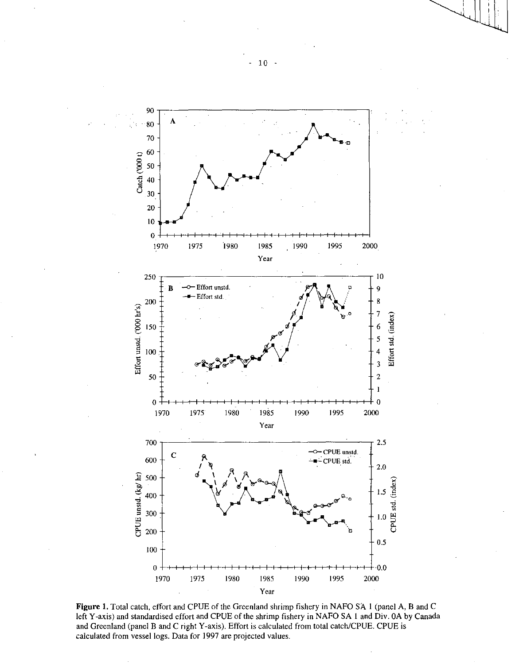

Figure 1. Total catch, effort and CPUE of the Greenland shrimp fishery in NAFO SA 1 (panel A, B and *C*  left Y-axis) and standardised effort and CPUE of the shrimp fishery in NAFO SA 1 and Div. OA by Canada and Greenland (panel B and C right Y-axis). Effort is calculated from total catch/CPUE. CPUE is calculated from vessel logs. Data for 1997 are projected values.

 $10 -$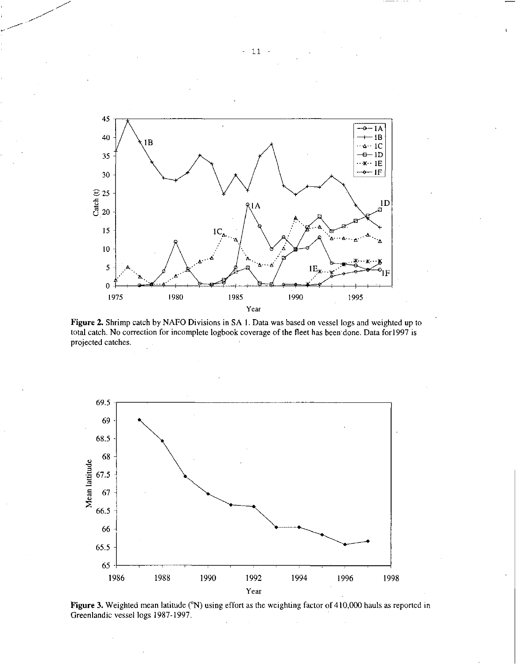

Figure 2. Shrimp catch by NAFO Divisions in SA 1. Data was based on vessel logs and weighted up to total catch. No correction for incomplete logbook coverage of the fleet has been'done. Data for1997 is projected catches.



Figure 3. Weighted mean latitude (°N) using effort as the weighting factor of 410,000 hauls as reported in Greenlandic vessel logs 1987-1997.

11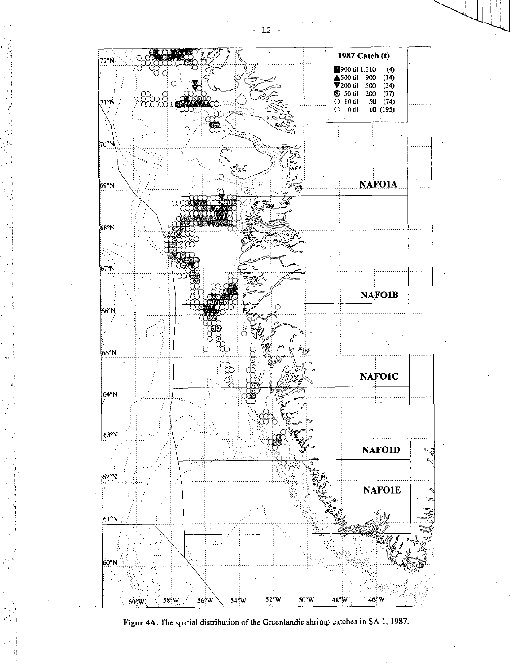



54°W

58<sup>%</sup>W

 $60^{\circ}$ W

56°W

48°W

50°W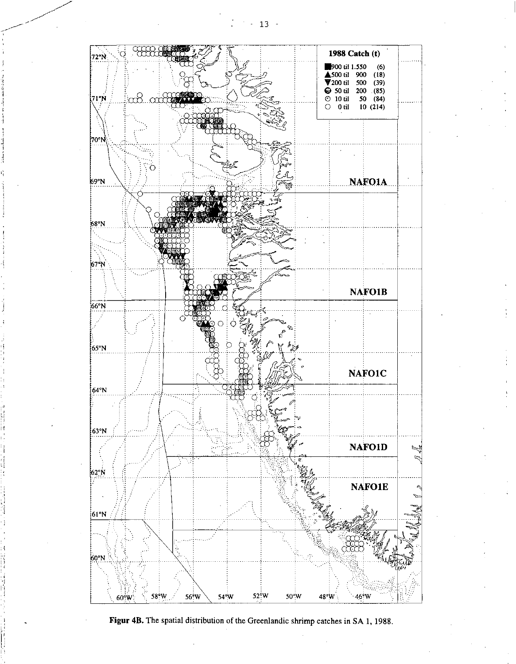$\beta \sim 13$  .



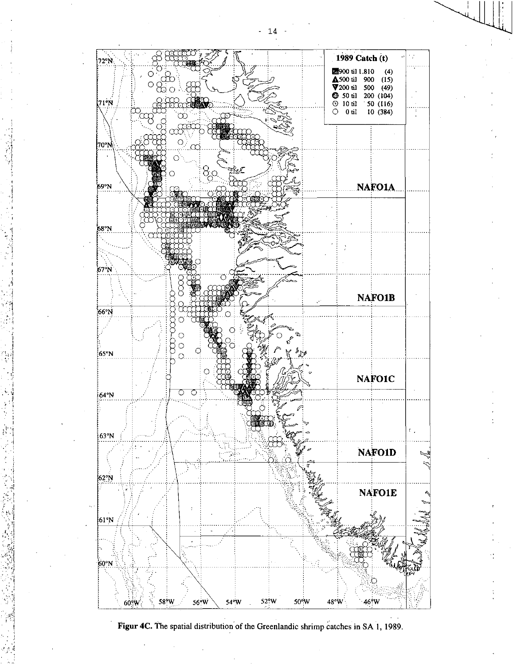

Figur 4C. The spatial distribution of the Greenlandic shrimp catches in SA 1, 1989.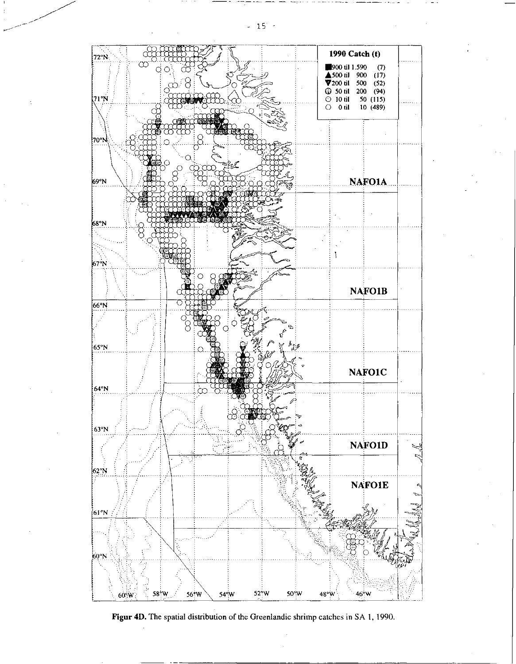

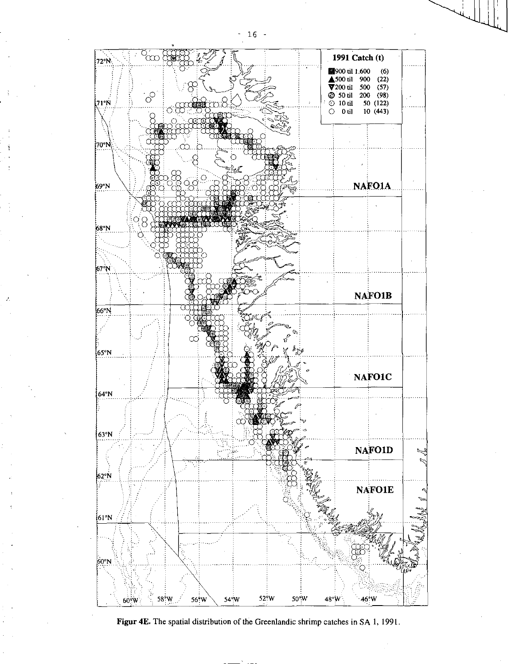$-16 -$ 



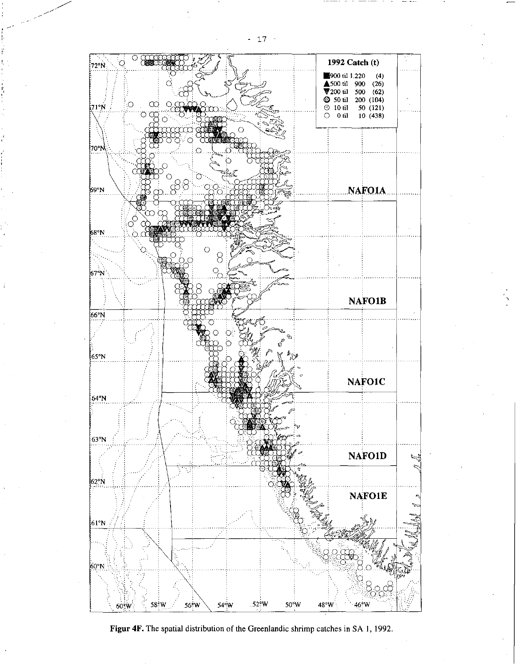

Figur 4F. The spatial distribution of the Greenlandic shrimp catches in SA 1, 1992.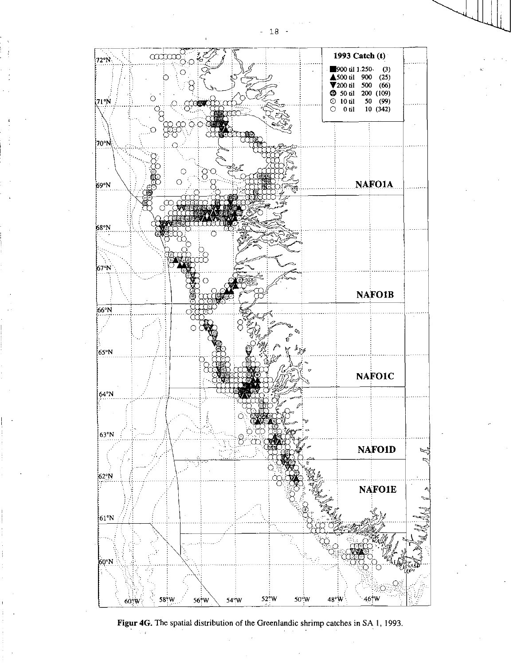

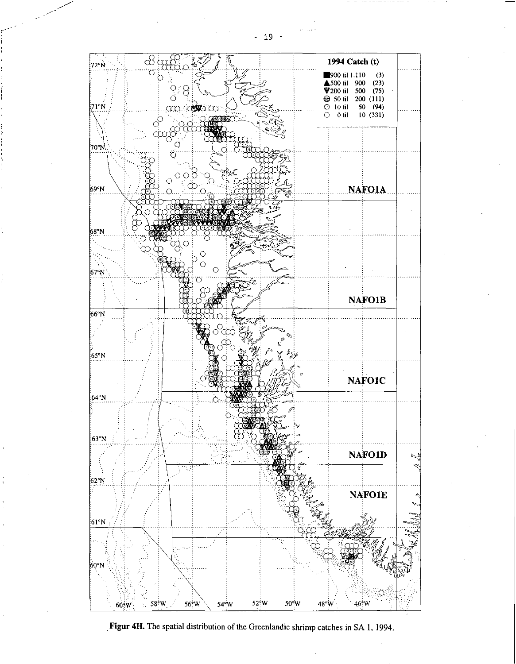



 $-19 -$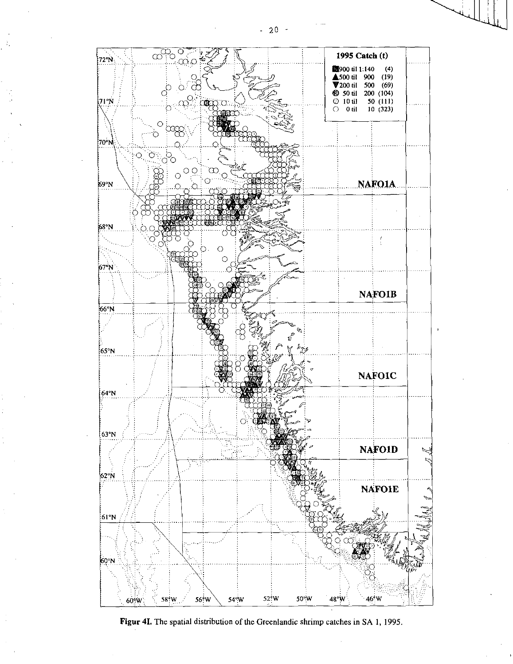

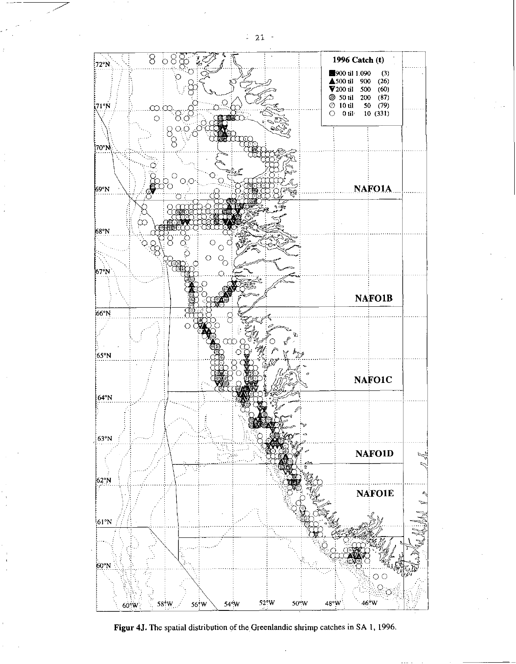

Figur 4J. The spatial distribution of the Greenlandic shrimp catches in SA 1, 1996.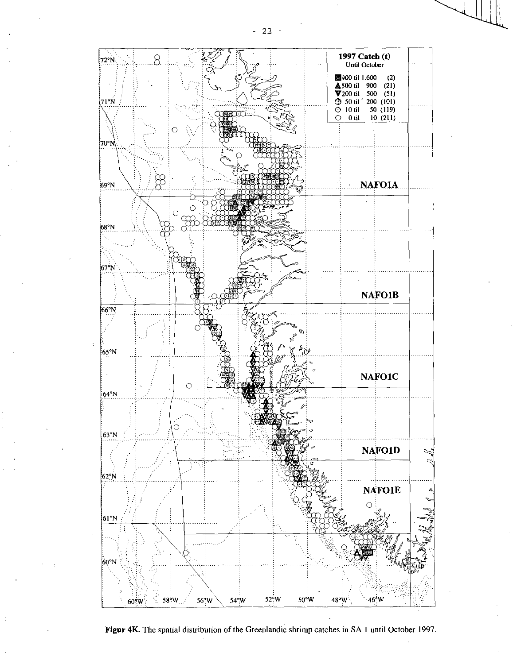

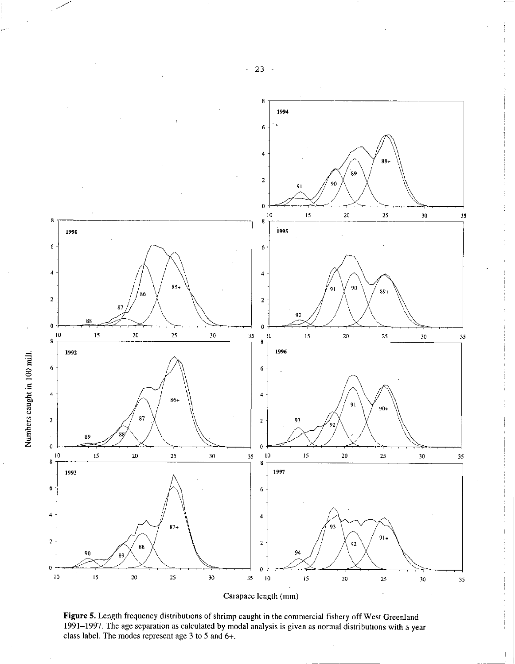

Figure 5. Length frequency distributions of shrimp caught in the commercial fishery off West Greenland 1991-1997. The age separation as calculated by modal analysis is given as normal distributions with a year class label. The modes represent age 3 to 5 and 6+.

- 23 -